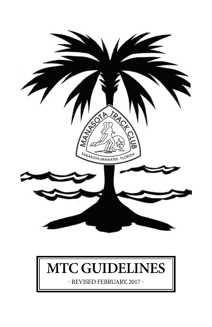

# **MTC Guidelines**

- revised February, 2017 -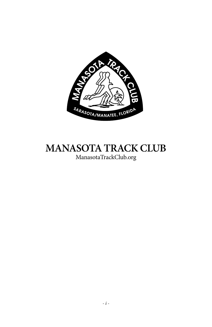

# **Manasota track club**

ManasotaTrackClub.org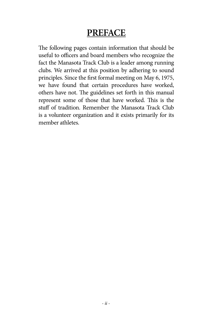# **Preface**

The following pages contain information that should be useful to officers and board members who recognize the fact the Manasota Track Club is a leader among running clubs. We arrived at this position by adhering to sound principles. Since the first formal meeting on May 6, 1975, we have found that certain procedures have worked, others have not. The guidelines set forth in this manual represent some of those that have worked. This is the stuff of tradition. Remember the Manasota Track Club is a volunteer organization and it exists primarily for its member athletes.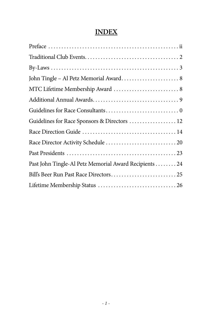#### **Index**

| MTC Lifetime Membership Award  8                      |
|-------------------------------------------------------|
|                                                       |
|                                                       |
| Guidelines for Race Sponsors & Directors  12          |
|                                                       |
|                                                       |
|                                                       |
| Past John Tingle-Al Petz Memorial Award Recipients 24 |
|                                                       |
|                                                       |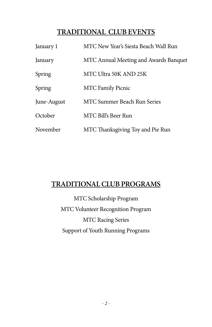# **TRADITIONAL CLUB EVENTS**

| January 1   | MTC New Year's Siesta Beach Wall Run  |  |
|-------------|---------------------------------------|--|
| January     | MTC Annual Meeting and Awards Banquet |  |
| Spring      | MTC Ultra 50K AND 25K                 |  |
| Spring      | <b>MTC Family Picnic</b>              |  |
| June-August | <b>MTC Summer Beach Run Series</b>    |  |
| October     | MTC Bill's Beer Run                   |  |
| November    | MTC Thanksgiving Toy and Pie Run      |  |

# **TRADITIONAL CLUB PROGRAMS**

MTC Scholarship Program MTC Volunteer Recognition Program MTC Racing Series Support of Youth Running Programs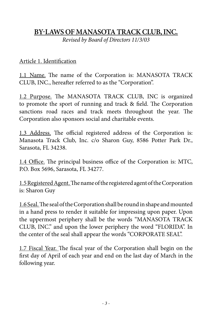#### **BY-LAWS OF MANASOTA TRACK CLUB, INC.**

*Revised by Board of Directors 11/3/03*

#### Article 1. Identification

1.1\_Name. The name of the Corporation is: MANASOTA TRACK CLUB, INC., hereafter referred to as the "Corporation".

1.2 Purpose. The MANASOTA TRACK CLUB, INC is organized to promote the sport of running and track & field. The Corporation sanctions road races and track meets throughout the year. The Corporation also sponsors social and charitable events.

1.3 Address. The official registered address of the Corporation is: Manasota Track Club, Inc. c/o Sharon Guy, 8586 Potter Park Dr., Sarasota, FL 34238.

1.4 Office. The principal business office of the Corporation is: MTC, P.O. Box 5696, Sarasota, FL 34277.

1.5 Registered Agent. The name of the registered agent of the Corporation is: Sharon Guy

1.6 Seal. The seal of the Corporation shall be round in shape and mounted in a hand press to render it suitable for impressing upon paper. Upon the uppermost periphery shall be the words "MANASOTA TRACK CLUB, INC." and upon the lower periphery the word "FLORIDA". In the center of the seal shall appear the words "CORPORATE SEAL".

1.7 Fiscal Year. The fiscal year of the Corporation shall begin on the first day of April of each year and end on the last day of March in the following year.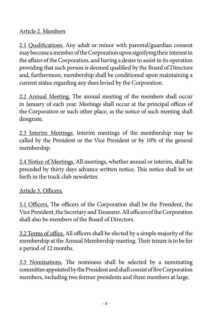#### Article 2. Members

2.1 Qualifications. Any adult or minor with parental/guardian consent may become a member of the Corporation upon signifying their interest in the affairs of the Corporation, and having a desire to assist in its operation providing that such person is deemed qualified by the Board of Directors and, furthermore, membership shall be conditioned upon maintaining a current status regarding any dues levied by the Corporation.

2.2 Annual Meeting. The annual meeting of the members shall occur in January of each year. Meetings shall occur at the principal offices of the Corporation or such other place, as the notice of such meeting shall designate.

2.3 Interim Meetings. Interim meetings of the membership may be called by the President or the Vice President or by 10% of the general membership.

2.4 Notice of Meetings. All meetings, whether annual or interim, shall be preceded by thirty days advance written notice. This notice shall be set forth in the track club newsletter.

#### Article 3. Officers.

3.1 Officers. The officers of the Corporation shall be the President, the Vice President, the Secretary and Treasurer. All officers of the Corporation shall also be members of the Board of Directors.

3.2 Terms of office. All officers shall be elected by a simple majority of the membership at the Annual Membership meeting. Their tenure is to be for a period of 12 months.

3.3 Nominations. The nominees shall be selected by a nominating committee appointed by the President and shall consist of five Corporation members, including two former presidents and three members at large.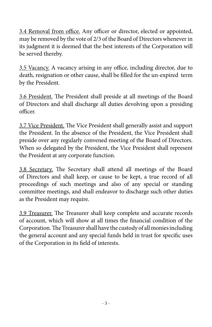3.4 Removal from office. Any officer or director, elected or appointed, may be removed by the vote of 2/3 of the Board of Directors whenever in its judgment it is deemed that the best interests of the Corporation will be served thereby.

3.5 Vacancy. A vacancy arising in any office, including director, due to death, resignation or other cause, shall be filled for the un-expired term by the President.

3.6 President. The President shall preside at all meetings of the Board of Directors and shall discharge all duties devolving upon a presiding officer.

3.7 Vice President. The Vice President shall generally assist and support the President. In the absence of the President, the Vice President shall preside over any regularly convened meeting of the Board of Directors. When so delegated by the President, the Vice President shall represent the President at any corporate function.

3.8 Secretary. The Secretary shall attend all meetings of the Board of Directors and shall keep, or cause to be kept, a true record of all proceedings of such meetings and also of any special or standing committee meetings, and shall endeavor to discharge such other duties as the President may require.

3.9 Treasurer. The Treasurer shall keep complete and accurate records of account, which will show at all times the financial condition of the Corporation. The Treasurer shall have the custody of all monies including the general account and any special funds held in trust for specific uses of the Corporation in its field of interests.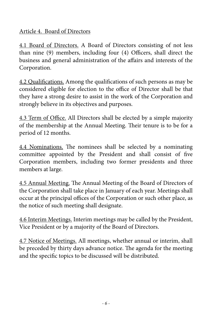#### Article 4. Board of Directors

4.1 Board of Directors. A Board of Directors consisting of not less than nine (9) members, including four (4) Officers, shall direct the business and general administration of the affairs and interests of the Corporation.

4.2 Qualifications. Among the qualifications of such persons as may be considered eligible for election to the office of Director shall be that they have a strong desire to assist in the work of the Corporation and strongly believe in its objectives and purposes.

4.3 Term of Office. All Directors shall be elected by a simple majority of the membership at the Annual Meeting. Their tenure is to be for a period of 12 months.

4.4 Nominations. The nominees shall be selected by a nominating committee appointed by the President and shall consist of five Corporation members, including two former presidents and three members at large.

4.5 Annual Meeting. The Annual Meeting of the Board of Directors of the Corporation shall take place in January of each year. Meetings shall occur at the principal offices of the Corporation or such other place, as the notice of such meeting shall designate.

4.6 Interim Meetings. Interim meetings may be called by the President, Vice President or by a majority of the Board of Directors.

4.7 Notice of Meetings. All meetings, whether annual or interim, shall be preceded by thirty days advance notice. The agenda for the meeting and the specific topics to be discussed will be distributed.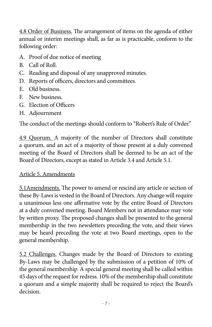4.8 Order of Business. The arrangement of items on the agenda of either annual or interim meetings shall, as far as is practicable, conform to the following order:

- A. Proof of due notice of meeting
- B. Call of Roll.
- C. Reading and disposal of any unapproved minutes.
- D. Reports of officers, directors and committees.
- E. Old business.
- F. New business.
- G. Election of Officers
- H. Adjournment

The conduct of the meetings should conform to "Robert's Rule of Order."

4.9 Quorum. A majority of the number of Directors shall constitute a quorum, and an act of a majority of those present at a duly convened meeting of the Board of Directors shall be deemed to be an act of the Board of Directors, except as stated in Article 3.4 and Article 5.1.

#### Article 5. Amendments

5.1Amendments. The power to amend or rescind any article or section of these By-Laws is vested in the Board of Directors. Any change will require a unanimous less one affirmative vote by the entire Board of Directors at a duly convened meeting. Board Members not in attendance may vote by written proxy. The proposed changes shall be presented to the general membership in the two newsletters preceding the vote, and their views may be heard preceding the vote at two Board meetings, open to the general membership.

5.2 Challenges. Changes made by the Board of Directors to existing By-Laws may be challenged by the submission of a petition of 10% of the general membership. A special general meeting shall be called within 45 days of the request for redress. 10% of the membership shall constitute a quorum and a simple majority shall be required to reject the Board's decision.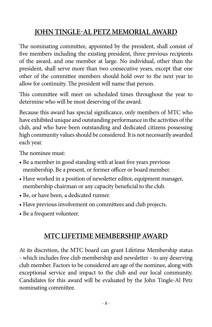# **JOHN TINGLE-AL PETZ MEMORIAL AWARD**

The nominating committee, appointed by the president, shall consist of five members including the existing president, three previous recipients of the award, and one member at large. No individual, other than the president, shall serve more than two consecutive years, except that one other of the committee members should hold over to the next year to allow for continuity. The president will name that person.

This committee will meet on scheduled times throughout the year to determine who will be most deserving of the award.

Because this award has special significance, only members of MTC who have exhibited unique and outstanding performance in the activities of the club, and who have been outstanding and dedicated citizens possessing high community values should be considered. It is not necessarily awarded each year.

The nominee must:

- Be a member in good standing with at least five years previous membership. Be a present, or former officer or board member.
- Have worked in a position of newsletter editor, equipment manager, membership chairman or any capacity beneficial to the club.
- Be, or have been, a dedicated runner.
- Have previous involvement on committees and club projects.
- Be a frequent volunteer.

# **MTC LIFETIME MEMBERSHIP AWARD**

At its discretion, the MTC board can grant Lifetime Membership status - which includes free club membership and newsletter - to any deserving club member. Factors to be considered are age of the nominee, along with exceptional service and impact to the club and our local community. Candidates for this award will be evaluated by the John Tingle-Al Petz nominating committee.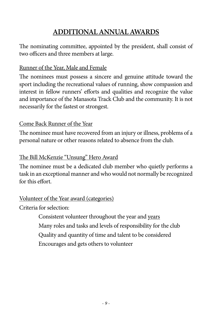# **ADDITIONAL ANNUAL AWARDS**

The nominating committee, appointed by the president, shall consist of two officers and three members at large.

#### Runner of the Year, Male and Female

The nominees must possess a sincere and genuine attitude toward the sport including the recreational values of running, show compassion and interest in fellow runners' efforts and qualities and recognize the value and importance of the Manasota Track Club and the community. It is not necessarily for the fastest or strongest.

#### Come Back Runner of the Year

The nominee must have recovered from an injury or illness, problems of a personal nature or other reasons related to absence from the club.

#### The Bill McKenzie "Unsung" Hero Award

The nominee must be a dedicated club member who quietly performs a task in an exceptional manner and who would not normally be recognized for this effort.

#### Volunteer of the Year award (categories)

Criteria for selection:

Consistent volunteer throughout the year and years Many roles and tasks and levels of responsibility for the club Quality and quantity of time and talent to be considered Encourages and gets others to volunteer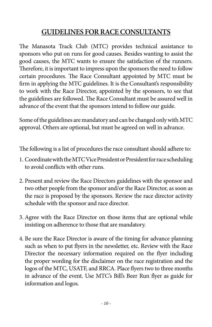# **GUIDELINES FORRACE CONSULTANTS**

The Manasota Track Club (MTC) provides technical assistance to sponsors who put on runs for good causes. Besides wanting to assist the good causes, the MTC wants to ensure the satisfaction of the runners. Therefore, it is important to impress upon the sponsors the need to follow certain procedures. The Race Consultant appointed by MTC must be firm in applying the MTC guidelines. It is the Consultant's responsibility to work with the Race Director, appointed by the sponsors, to see that the guidelines are followed. The Race Consultant must be assured well in advance of the event that the sponsors intend to follow our guide.

Some of the guidelines are mandatory and can be changed only with MTC approval. Others are optional, but must be agreed on well in advance.

The following is a list of procedures the race consultant should adhere to:

- 1. Coordinate with the MTC Vice President or President for race scheduling to avoid conflicts with other runs.
- 2. Present and review the Race Directors guidelines with the sponsor and two other people from the sponsor and/or the Race Director, as soon as the race is proposed by the sponsors. Review the race director activity schedule with the sponsor and race director.
- 3. Agree with the Race Director on those items that are optional while insisting on adherence to those that are mandatory.
- 4. Be sure the Race Director is aware of the timing for advance planning such as when to put flyers in the newsletter, etc. Review with the Race Director the necessary information required on the flyer including the proper wording for the disclaimer on the race registration and the logos of the MTC, USATF, and RRCA. Place flyers two to three months in advance of the event. Use MTC's Bill's Beer Run flyer as guide for information and logos.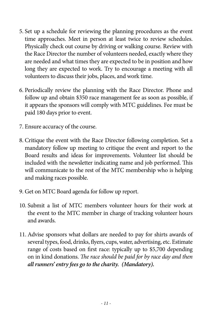- 5. Set up a schedule for reviewing the planning procedures as the event time approaches. Meet in person at least twice to review schedules. Physically check out course by driving or walking course. Review with the Race Director the number of volunteers needed, exactly where they are needed and what times they are expected to be in position and how long they are expected to work. Try to encourage a meeting with all volunteers to discuss their jobs, places, and work time.
- 6. Periodically review the planning with the Race Director. Phone and follow up and obtain \$350 race management fee as soon as possible, if it appears the sponsors will comply with MTC guidelines. Fee must be paid 180 days prior to event.
- 7. Ensure accuracy of the course.
- 8. Critique the event with the Race Director following completion. Set a mandatory follow up meeting to critique the event and report to the Board results and ideas for improvements. Volunteer list should be included with the newsletter indicating name and job performed. This will communicate to the rest of the MTC membership who is helping and making races possible.
- 9. Get on MTC Board agenda for follow up report.
- 10. Submit a list of MTC members volunteer hours for their work at the event to the MTC member in charge of tracking volunteer hours and awards.
- 11. Advise sponsors what dollars are needed to pay for shirts awards of several types, food, drinks, flyers, cups, water, advertising, etc. Estimate range of costs based on first race: typically up to \$5,700 depending on in kind donations. *The race should be paid for by race day and then all runners' entry fees go to the charity. (Mandatory).*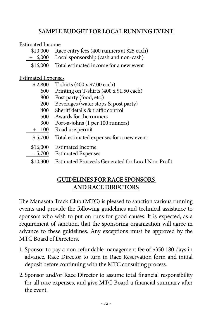#### **Sample Budget for Local Running Event**

#### Estimated Income

|                                                                  | \$10,000 Race entry fees (400 runners at \$25 each) |  |  |  |
|------------------------------------------------------------------|-----------------------------------------------------|--|--|--|
| $+ 6,000$                                                        | Local sponsorship (cash and non-cash)               |  |  |  |
|                                                                  | \$16,000 Total estimated income for a new event     |  |  |  |
| <b>Estimated Expenses</b><br>$\pi$ and $\pi$ 1; (in $\pi$ and 1) |                                                     |  |  |  |

| \$2,800 | T-shirts (400 x \$7.00 each)             |
|---------|------------------------------------------|
| 600     | Printing on T-shirts (400 x \$1.50 each) |
| 800     | Post party (food, etc.)                  |
| 200     | Beverages (water stops & post party)     |
| 400     | Sheriff details & traffic control        |
| 500     | Awards for the runners                   |
| 300     | Port-a-johns (1 per 100 runners)         |
| $+ 100$ | Road use permit                          |
| \$5,700 | Total estimated expenses for a new event |
|         | \$16,000 Estimated Income                |
|         | - 5,700 Estimated Expenses               |

\$10,300 Estimated Proceeds Generated for Local Non-Profit

#### **GUIDELINES FORRACE SPONSORS AND RACE DIRECTORS**

The Manasota Track Club (MTC) is pleased to sanction various running events and provide the following guidelines and technical assistance to sponsors who wish to put on runs for good causes. It is expected, as a requirement of sanction, that the sponsoring organization will agree in advance to these guidelines. Any exceptions must be approved by the MTC Board of Directors.

- 1. Sponsor to pay a non-refundable management fee of \$350 180 days in advance. Race Director to turn in Race Reservation form and initial deposit before continuing with the MTC consulting process.
- 2. Sponsor and/or Race Director to assume total financial responsibility for all race expenses, and give MTC Board a financial summary after the event.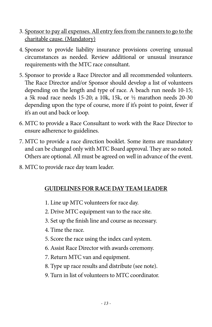- 3. Sponsor to pay all expenses. All entry fees from the runners to go to the charitable cause. (Mandatory)
- 4. Sponsor to provide liability insurance provisions covering unusual circumstances as needed. Review additional or unusual insurance requirements with the MTC race consultant.
- 5. Sponsor to provide a Race Director and all recommended volunteers. The Race Director and/or Sponsor should develop a list of volunteers depending on the length and type of race. A beach run needs 10-15; a 5k road race needs 15-20; a 10k, 15k, or ½ marathon needs 20-30 depending upon the type of course, more if it's point to point, fewer if it's an out and back or loop.
- 6. MTC to provide a Race Consultant to work with the Race Director to ensure adherence to guidelines.
- 7. MTC to provide a race direction booklet. Some items are mandatory and can be changed only with MTC Board approval. They are so noted. Others are optional. All must be agreed on well in advance of the event.
- 8. MTC to provide race day team leader.

#### **GUIDELINES FORRACE DAY TEAM LEADER**

- 1. Line up MTC volunteers for race day.
- 2. Drive MTC equipment van to the race site.
- 3. Set up the finish line and course as necessary.
- 4. Time the race.
- 5. Score the race using the index card system.
- 6. Assist Race Director with awards ceremony.
- 7. Return MTC van and equipment.
- 8. Type up race results and distribute (see note).
- 9. Turn in list of volunteers to MTC coordinator.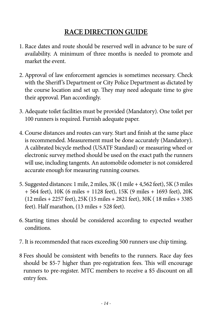# **RACE DIRECTION GUIDE**

- 1. Race dates and route should be reserved well in advance to be sure of availability. A minimum of three months is needed to promote and market the event.
- 2. Approval of law enforcement agencies is sometimes necessary. Check with the Sheriff's Department or City Police Department as dictated by the course location and set up. They may need adequate time to give their approval. Plan accordingly.
- 3. Adequate toilet facilities must be provided (Mandatory). One toilet per 100 runners is required. Furnish adequate paper.
- 4. Course distances and routes can vary. Start and finish at the same place is recommended. Measurement must be done accurately (Mandatory). A calibrated bicycle method (USATF Standard) or measuring wheel or electronic survey method should be used on the exact path the runners will use, including tangents. An automobile odometer is not considered accurate enough for measuring running courses.
- 5. Suggested distances: 1 mile, 2 miles, 3K (1 mile + 4,562 feet), 5K (3 miles + 564 feet), 10K (6 miles + 1128 feet), 15K (9 miles + 1693 feet), 20K (12 miles + 2257 feet), 25K (15 miles + 2821 feet), 30K ( 18 miles + 3385 feet). Half marathon, (13 miles + 528 feet).
- 6. Starting times should be considered according to expected weather conditions.
- 7. It is recommended that races exceeding 500 runners use chip timing.
- 8 Fees should be consistent with benefits to the runners. Race day fees should be \$5-7 higher than pre-registration fees. This will encourage runners to pre-register. MTC members to receive a \$5 discount on all entry fees.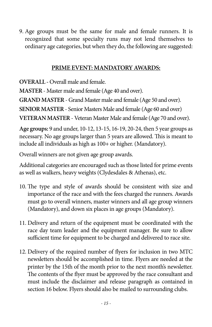9. Age groups must be the same for male and female runners. It is recognized that some specialty runs may not lend themselves to ordinary age categories, but when they do, the following are suggested:

#### **Prime event: Mandatory Awards:**

**OVERALL -** Overall male and female.

**MASTER** - Master male and female (Age 40 and over).

**GRAND MASTER** - Grand Master male and female (Age 50 and over).

**SENIOR MASTER** - Senior Masters Male and female (Age 60 and over)

**VETERAN MASTER** - Veteran Master Male and female (Age 70 and over).

**Age groups:** 9 and under, 10-12, 13-15, 16-19, 20-24, then 5 year groups as necessary. No age groups larger than 5 years are allowed. This is meant to include all individuals as high as 100+ or higher. (Mandatory).

Overall winners are not given age group awards.

Additional categories are encouraged such as those listed for prime events as well as walkers, heavy weights (Clydesdales & Athenas), etc.

- 10. The type and style of awards should be consistent with size and importance of the race and with the fees charged the runners. Awards must go to overall winners, master winners and all age group winners (Mandatory), and down six places in age groups (Mandatory).
- 11. Delivery and return of the equipment must be coordinated with the race day team leader and the equipment manager. Be sure to allow sufficient time for equipment to be charged and delivered to race site.
- 12. Delivery of the required number of flyers for inclusion in two MTC newsletters should be accomplished in time. Flyers are needed at the printer by the 15th of the month prior to the next month's newsletter. The contents of the flyer must be approved by the race consultant and must include the disclaimer and release paragraph as contained in section 16 below. Flyers should also be mailed to surrounding clubs.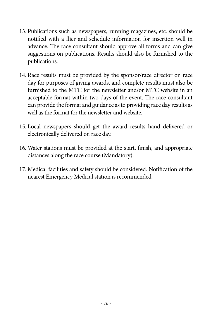- 13. Publications such as newspapers, running magazines, etc. should be notified with a flier and schedule information for insertion well in advance. The race consultant should approve all forms and can give suggestions on publications. Results should also be furnished to the publications.
- 14. Race results must be provided by the sponsor/race director on race day for purposes of giving awards, and complete results must also be furnished to the MTC for the newsletter and/or MTC website in an acceptable format within two days of the event. The race consultant can provide the format and guidance as to providing race day results as well as the format for the newsletter and website.
- 15. Local newspapers should get the award results hand delivered or electronically delivered on race day.
- 16. Water stations must be provided at the start, finish, and appropriate distances along the race course (Mandatory).
- 17. Medical facilities and safety should be considered. Notification of the nearest Emergency Medical station is recommended.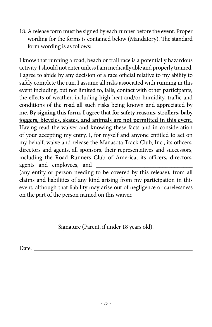18. A release form must be signed by each runner before the event. Proper wording for the forms is contained below (Mandatory). The standard form wording is as follows:

I know that running a road, beach or trail race is a potentially hazardous activity. I should not enter unless I am medically able and properly trained. I agree to abide by any decision of a race official relative to my ability to safely complete the run. I assume all risks associated with running in this event including, but not limited to, falls, contact with other participants, the effects of weather, including high heat and/or humidity, traffic and conditions of the road all such risks being known and appreciated by me. **By signing this form, I agree that for safety reasons, strollers, baby joggers, bicycles, skates, and animals are not permitted in this event.** Having read the waiver and knowing these facts and in consideration of your accepting my entry, I, for myself and anyone entitled to act on my behalf, waive and release the Manasota Track Club, Inc., its officers, directors and agents, all sponsors, their representatives and successors, including the Road Runners Club of America, its officers, directors, agents and employees, and (any entity or person needing to be covered by this release), from all claims and liabilities of any kind arising from my participation in this

event, although that liability may arise out of negligence or carelessness on the part of the person named on this waiver.

Signature (Parent, if under 18 years old).

Date.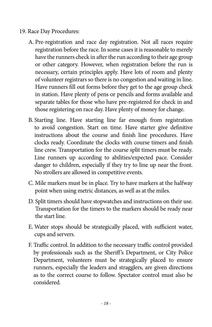- 19. Race Day Procedures:
	- A. Pre-registration and race day registration. Not all races require registration before the race. In some cases it is reasonable to merely have the runners check in after the run according to their age group or other category. However, when registration before the run is necessary, certain principles apply. Have lots of room and plenty of volunteer registrars so there is no congestion and waiting in line. Have runners fill out forms before they get to the age group check in station. Have plenty of pens or pencils and forms available and separate tables for those who have pre-registered for check in and those registering on race day. Have plenty of money for change.
	- B. Starting line. Have starting line far enough from registration to avoid congestion. Start on time. Have starter give definitive instructions about the course and finish line procedures. Have clocks ready. Coordinate the clocks with course timers and finish line crew. Transportation for the course split timers must be ready. Line runners up according to abilities/expected pace. Consider danger to children, especially if they try to line up near the front. No strollers are allowed in competitive events.
	- C. Mile markers must be in place. Try to have markers at the halfway point when using metric distances, as well as at the miles.
	- D. Split timers should have stopwatches and instructions on their use. Transportation for the timers to the markers should be ready near the start line.
	- E. Water stops should be strategically placed, with sufficient water, cups and servers.
	- F. Traffic control. In addition to the necessary traffic control provided by professionals such as the Sheriff's Department, or City Police Department, volunteers must be strategically placed to ensure runners, especially the leaders and stragglers, are given directions as to the correct course to follow. Spectator control must also be considered.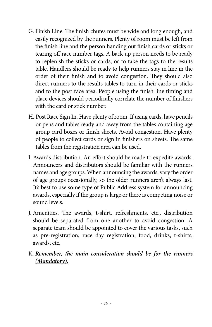- G. Finish Line. The finish chutes must be wide and long enough, and easily recognized by the runners. Plenty of room must be left from the finish line and the person handing out finish cards or sticks or tearing off race number tags. A back up person needs to be ready to replenish the sticks or cards, or to take the tags to the results table. Handlers should be ready to help runners stay in line in the order of their finish and to avoid congestion. They should also direct runners to the results tables to turn in their cards or sticks and to the post race area. People using the finish line timing and place devices should periodically correlate the number of finishers with the card or stick number.
- H. Post Race Sign In. Have plenty of room. If using cards, have pencils or pens and tables ready and away from the tables containing age group card boxes or finish sheets. Avoid congestion. Have plenty of people to collect cards or sign in finishers on sheets. The same tables from the registration area can be used.
- I. Awards distribution. An effort should be made to expedite awards. Announcers and distributors should be familiar with the runners names and age groups. When announcing the awards, vary the order of age groups occasionally, so the older runners aren't always last. It's best to use some type of Public Address system for announcing awards, especially if the group is large or there is competing noise or sound levels.
- J. Amenities. The awards, t-shirt, refreshments, etc., distribution should be separated from one another to avoid congestion. A separate team should be appointed to cover the various tasks, such as pre-registration, race day registration, food, drinks, t-shirts, awards, etc.
- K. *Remember, the main consideration should be for the runners (Mandatory).*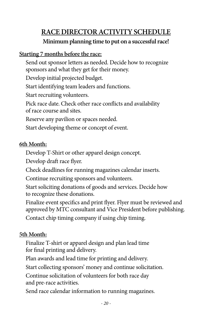# **RACE DIRECTOR ACTIVITY SCHEDULE**

#### **Minimum planning time to put on a successful race!**

#### **Starting 7 months before the race:**

Send out sponsor letters as needed. Decide how to recognize sponsors and what they get for their money.

Develop initial projected budget.

Start identifying team leaders and functions.

Start recruiting volunteers.

Pick race date. Check other race conflicts and availability of race course and sites.

Reserve any pavilion or spaces needed.

Start developing theme or concept of event.

#### **6th Month:**

Develop T-Shirt or other apparel design concept.

Develop draft race flyer.

Check deadlines for running magazines calendar inserts.

Continue recruiting sponsors and volunteers.

Start soliciting donations of goods and services. Decide how to recognize these donations.

Finalize event specifics and print flyer. Flyer must be reviewed and approved by MTC consultant and Vice President before publishing.

Contact chip timing company if using chip timing.

#### **5th Month:**

Finalize T-shirt or apparel design and plan lead time for final printing and delivery.

Plan awards and lead time for printing and delivery.

Start collecting sponsors' money and continue solicitation.

Continue solicitation of volunteers for both race day and pre-race activities.

Send race calendar information to running magazines.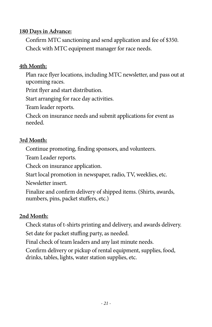#### **180 Days in Advance:**

Confirm MTC sanctioning and send application and fee of \$350. Check with MTC equipment manager for race needs.

#### **4th Month:**

Plan race flyer locations, including MTC newsletter, and pass out at upcoming races.

Print flyer and start distribution.

Start arranging for race day activities.

Team leader reports.

Check on insurance needs and submit applications for event as needed.

#### **3rd Month:**

Continue promoting, finding sponsors, and volunteers.

Team Leader reports.

Check on insurance application.

Start local promotion in newspaper, radio, TV, weeklies, etc.

Newsletter insert.

Finalize and confirm delivery of shipped items. (Shirts, awards, numbers, pins, packet stuffers, etc.)

#### **2nd Month:**

Check status of t-shirts printing and delivery, and awards delivery. Set date for packet stuffing party, as needed.

Final check of team leaders and any last minute needs.

Confirm delivery or pickup of rental equipment, supplies, food, drinks, tables, lights, water station supplies, etc.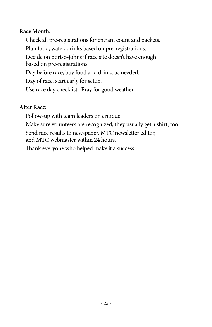#### **Race Month:**

Check all pre-registrations for entrant count and packets. Plan food, water, drinks based on pre-registrations. Decide on port-o-johns if race site doesn't have enough based on pre-registrations. Day before race, buy food and drinks as needed. Day of race, start early for setup. Use race day checklist. Pray for good weather.

#### **After Race:**

Follow-up with team leaders on critique.

Make sure volunteers are recognized; they usually get a shirt, too.

Send race results to newspaper, MTC newsletter editor,

and MTC webmaster within 24 hours.

Thank everyone who helped make it a success.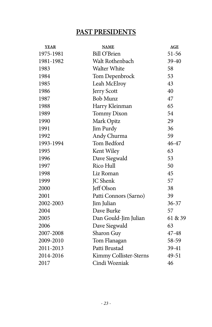# **PAST PRESIDENTS**

| <b>YEAR</b> | <b>NAME</b>            | AGE       |
|-------------|------------------------|-----------|
| 1975-1981   | Bill O'Brien           | 51-56     |
| 1981-1982   | Walt Rothenbach        | 39-40     |
| 1983        | <b>Walter White</b>    | 58        |
| 1984        | Tom Depenbrock         | 53        |
| 1985        | Leah McElroy           | 43        |
| 1986        | Jerry Scott            | 40        |
| 1987        | <b>Bob Munz</b>        | 47        |
| 1988        | Harry Kleinman         | 65        |
| 1989        | <b>Tommy Dixon</b>     | 54        |
| 1990        | Mark Opitz             | 29        |
| 1991        | Jim Purdy              | 36        |
| 1992        | Andy Churma            | 59        |
| 1993-1994   | Tom Bedford            | 46-47     |
| 1995        | Kent Wiley             | 63        |
| 1996        | Dave Siegwald          | 53        |
| 1997        | Rico Hull              | 50        |
| 1998        | Liz Roman              | 45        |
| 1999        | JC Shenk               | 57        |
| 2000        | Jeff Olson             | 38        |
| 2001        | Patti Connors (Sarno)  | 39        |
| 2002-2003   | Jim Julian             | $36 - 37$ |
| 2004        | Dave Burke             | 57        |
| 2005        | Dan Gould-Jim Julian   | 61 & 39   |
| 2006        | Dave Siegwald          | 63        |
| 2007-2008   | Sharon Guy             | 47-48     |
| 2009-2010   | Tom Flanagan           | 58-59     |
| 2011-2013   | Patti Brustad          | 39-41     |
| 2014-2016   | Kimmy Collister-Sterns | 49-51     |
| 2017        | Cindi Wozniak          | 46        |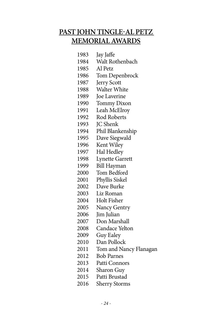# **PAST JOHN TINGLE-AL PETZ MEMORIAL AWARDS**

1983 Jay Jaffe 1984 Walt Rothenbach 1985 Al Petz<br>1986 Tom De Tom Depenbrock 1987 Jerry Scott 1988 Walter White 1989 Joe Laverine 1990 Tommy Dixon<br>1991 Leah McElroy Leah McElroy 1992 Rod Roberts 1993 JC Shenk 1994 Phil Blankenship 1995 Dave Siegwald 1996 Kent Wiley 1997 Hal Hedley 1998 Lynette Garrett 1999 Bill Hayman 2000 Tom Bedford 2001 Phyllis Siskel 2002 Dave Burke 2003 Liz Roman 2004 Holt Fisher 2005 Nancy Gentry 2006 Jim Julian 2007 Don Marshall 2008 Candace Yelton 2009 Guy Ealey 2010 Dan Pollock 2011 Tom and Nancy Flanagan 2012 Bob Parnes 2013 Patti Connors 2014 Sharon Guy 2015 Patti Brustad 2016 Sherry Storms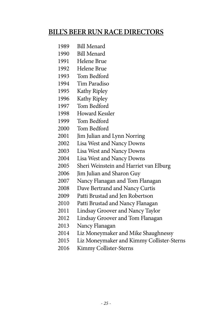# **BILL'S BEERRUN RACE DIRECTORS**

- 1989 Bill Menard
- 1990 Bill Menard
- Helene Brue
- Helene Brue
- Tom Bedford
- Tim Paradiso
- Kathy Ripley
- Kathy Ripley
- Tom Bedford
- Howard Kessler
- Tom Bedford
- Tom Bedford
- Jim Julian and Lynn Norring
- Lisa West and Nancy Downs
- Lisa West and Nancy Downs
- Lisa West and Nancy Downs
- 2005 Sheri Weinstein and Harriet van Elburg
- Jim Julian and Sharon Guy
- Nancy Flanagan and Tom Flanagan
- 2008 Dave Bertrand and Nancy Curtis
- Patti Brustad and Jen Robertson
- Patti Brustad and Nancy Flanagan
- Lindsay Groover and Nancy Taylor
- Lindsay Groover and Tom Flanagan
- Nancy Flanagan
- Liz Moneymaker and Mike Shaughnessy
- Liz Moneymaker and Kimmy Collister-Sterns
- Kimmy Collister-Sterns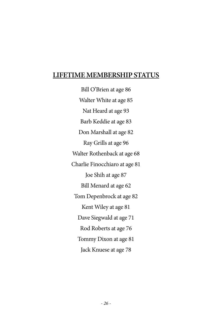#### **LIFETIME MEMBERSHIP STATUS**

Bill O'Brien at age 86 Walter White at age 85 Nat Heard at age 93 Barb Keddie at age 83 Don Marshall at age 82 Ray Grills at age 96 Walter Rothenback at age 68 Charlie Finocchiaro at age 81 Joe Shih at age 87 Bill Menard at age 62 Tom Depenbrock at age 82 Kent Wiley at age 81 Dave Siegwald at age 71 Rod Roberts at age 76 Tommy Dixon at age 81 Jack Knuese at age 78